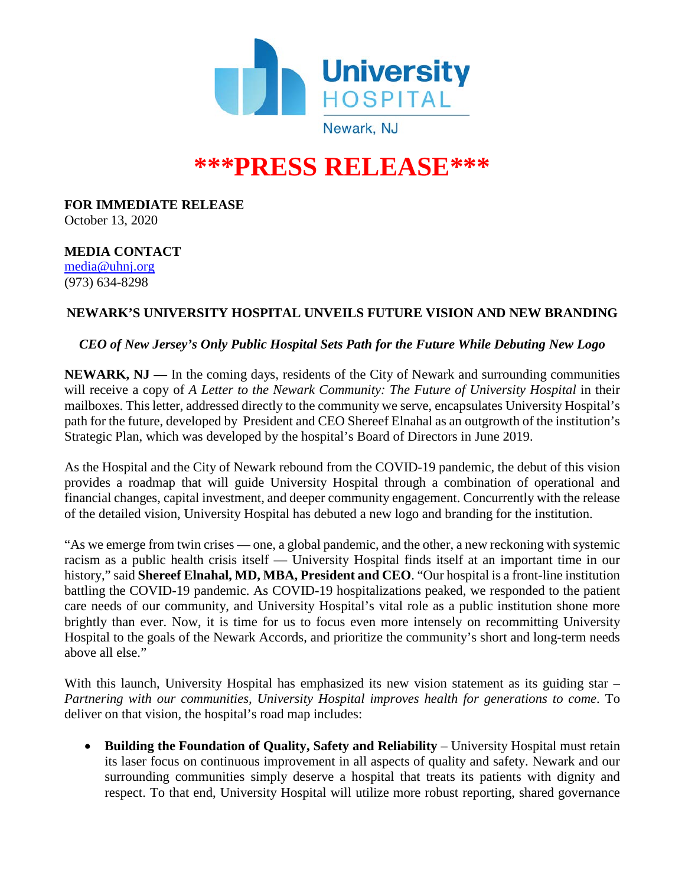

## **\*\*\*PRESS RELEASE\*\*\***

**FOR IMMEDIATE RELEASE** October 13, 2020

**MEDIA CONTACT** [media@uhnj.org](about:blank) (973) 634-8298

## **NEWARK'S UNIVERSITY HOSPITAL UNVEILS FUTURE VISION AND NEW BRANDING**

## *CEO of New Jersey's Only Public Hospital Sets Path for the Future While Debuting New Logo*

**NEWARK, NJ —** In the coming days, residents of the City of Newark and surrounding communities will receive a copy of *A Letter to the Newark Community: The Future of University Hospital* in their mailboxes. This letter, addressed directly to the community we serve, encapsulates University Hospital's path for the future, developed by President and CEO Shereef Elnahal as an outgrowth of the institution's Strategic Plan, which was developed by the hospital's Board of Directors in June 2019.

As the Hospital and the City of Newark rebound from the COVID-19 pandemic, the debut of this vision provides a roadmap that will guide University Hospital through a combination of operational and financial changes, capital investment, and deeper community engagement. Concurrently with the release of the detailed vision, University Hospital has debuted a new logo and branding for the institution.

"As we emerge from twin crises — one, a global pandemic, and the other, a new reckoning with systemic racism as a public health crisis itself — University Hospital finds itself at an important time in our history," said **Shereef Elnahal, MD, MBA, President and CEO**. "Our hospital is a front-line institution battling the COVID-19 pandemic. As COVID-19 hospitalizations peaked, we responded to the patient care needs of our community, and University Hospital's vital role as a public institution shone more brightly than ever. Now, it is time for us to focus even more intensely on recommitting University Hospital to the goals of the Newark Accords, and prioritize the community's short and long-term needs above all else."

With this launch, University Hospital has emphasized its new vision statement as its guiding star – *Partnering with our communities, University Hospital improves health for generations to come*. To deliver on that vision, the hospital's road map includes:

• **Building the Foundation of Quality, Safety and Reliability** – University Hospital must retain its laser focus on continuous improvement in all aspects of quality and safety. Newark and our surrounding communities simply deserve a hospital that treats its patients with dignity and respect. To that end, University Hospital will utilize more robust reporting, shared governance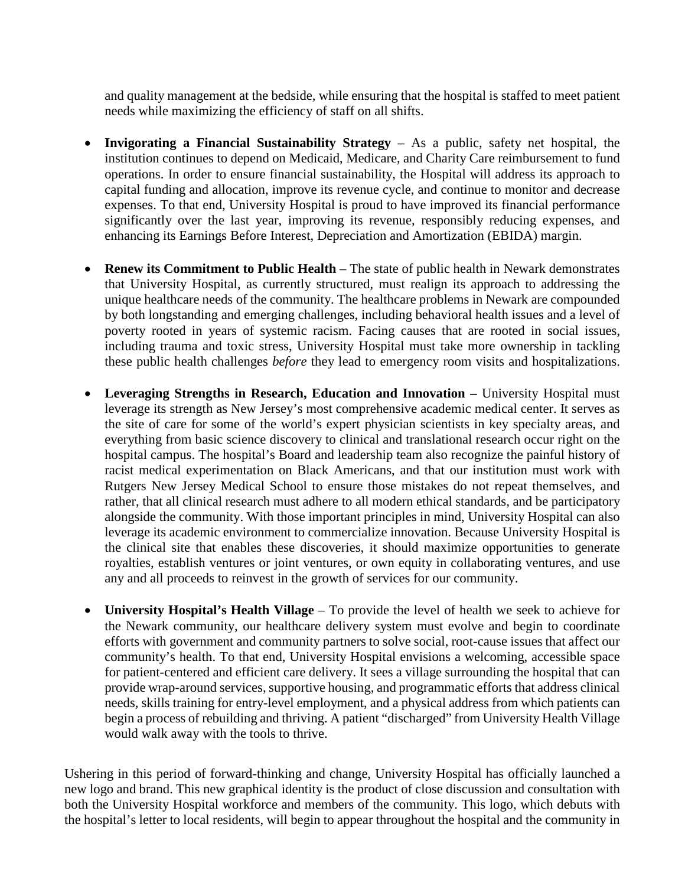and quality management at the bedside, while ensuring that the hospital is staffed to meet patient needs while maximizing the efficiency of staff on all shifts.

- **Invigorating a Financial Sustainability Strategy** As a public, safety net hospital, the institution continues to depend on Medicaid, Medicare, and Charity Care reimbursement to fund operations. In order to ensure financial sustainability, the Hospital will address its approach to capital funding and allocation, improve its revenue cycle, and continue to monitor and decrease expenses. To that end, University Hospital is proud to have improved its financial performance significantly over the last year, improving its revenue, responsibly reducing expenses, and enhancing its Earnings Before Interest, Depreciation and Amortization (EBIDA) margin.
- **Renew its Commitment to Public Health** The state of public health in Newark demonstrates that University Hospital, as currently structured, must realign its approach to addressing the unique healthcare needs of the community. The healthcare problems in Newark are compounded by both longstanding and emerging challenges, including behavioral health issues and a level of poverty rooted in years of systemic racism. Facing causes that are rooted in social issues, including trauma and toxic stress, University Hospital must take more ownership in tackling these public health challenges *before* they lead to emergency room visits and hospitalizations.
- **Leveraging Strengths in Research, Education and Innovation –** University Hospital must leverage its strength as New Jersey's most comprehensive academic medical center. It serves as the site of care for some of the world's expert physician scientists in key specialty areas, and everything from basic science discovery to clinical and translational research occur right on the hospital campus. The hospital's Board and leadership team also recognize the painful history of racist medical experimentation on Black Americans, and that our institution must work with Rutgers New Jersey Medical School to ensure those mistakes do not repeat themselves, and rather, that all clinical research must adhere to all modern ethical standards, and be participatory alongside the community. With those important principles in mind, University Hospital can also leverage its academic environment to commercialize innovation. Because University Hospital is the clinical site that enables these discoveries, it should maximize opportunities to generate royalties, establish ventures or joint ventures, or own equity in collaborating ventures, and use any and all proceeds to reinvest in the growth of services for our community.
- **University Hospital's Health Village** To provide the level of health we seek to achieve for the Newark community, our healthcare delivery system must evolve and begin to coordinate efforts with government and community partners to solve social, root-cause issues that affect our community's health. To that end, University Hospital envisions a welcoming, accessible space for patient-centered and efficient care delivery. It sees a village surrounding the hospital that can provide wrap-around services, supportive housing, and programmatic efforts that address clinical needs, skills training for entry-level employment, and a physical address from which patients can begin a process of rebuilding and thriving. A patient "discharged" from University Health Village would walk away with the tools to thrive.

Ushering in this period of forward-thinking and change, University Hospital has officially launched a new logo and brand. This new graphical identity is the product of close discussion and consultation with both the University Hospital workforce and members of the community. This logo, which debuts with the hospital's letter to local residents, will begin to appear throughout the hospital and the community in